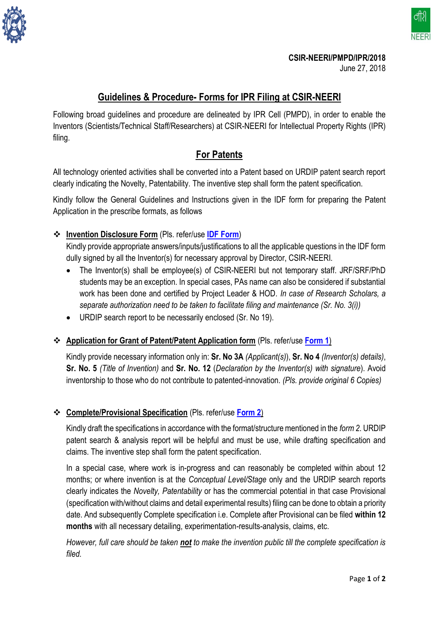

đ₿

**NEERI** 

## **Guidelines & Procedure- Forms for IPR Filing at CSIR-NEERI**

Following broad guidelines and procedure are delineated by IPR Cell (PMPD), in order to enable the Inventors (Scientists/Technical Staff/Researchers) at CSIR-NEERI for Intellectual Property Rights (IPR) filing.

## **For Patents**

All technology oriented activities shall be converted into a Patent based on URDIP patent search report clearly indicating the Novelty, Patentability. The inventive step shall form the patent specification.

Kindly follow the General Guidelines and Instructions given in the IDF form for preparing the Patent Application in the prescribe formats, as follows

**Invention Disclosure Form** (Pls. refer/use **[IDF Form](IDF.docx)**)

Kindly provide appropriate answers/inputs/justifications to all the applicable questions in the IDF form dully signed by all the Inventor(s) for necessary approval by Director, CSIR-NEERI.

- The Inventor(s) shall be employee(s) of CSIR-NEERI but not temporary staff. JRF/SRF/PhD students may be an exception. In special cases, PAs name can also be considered if substantial work has been done and certified by Project Leader & HOD. *In case of Research Scholars, a separate authorization need to be taken to facilitate filing and maintenance (Sr. No. 3(i))*
- URDIP search report to be necessarily enclosed (Sr. No 19).
- **Application for Grant of Patent/Patent Application form** (Pls. refer/use **[Form 1](file:///D:/Sushant_Bdtt/Patents/IPR%20_Sushant%20PMPD/CSIR%20Guidelines%20for%20patents/New%20CSIR%20Guidelines%20separate/Policy%202018/Form%201%20Application%20for%20Grant.docx)**)

Kindly provide necessary information only in: **Sr. No 3A** *(Applicant(s)*), **Sr. No 4** *(Inventor(s) details)*, **Sr. No. 5** *(Title of Invention)* and **Sr. No. 12** (*Declaration by the Inventor(s) with signature*). Avoid inventorship to those who do not contribute to patented-innovation. *(Pls. provide original 6 Copies)*

## **Complete/Provisional Specification** (Pls. refer/use **[Form 2](file:///D:/Sushant_Bdtt/Patents/IPR%20_Sushant%20PMPD/CSIR%20Guidelines%20for%20patents/New%20CSIR%20Guidelines%20separate/Policy%202018/Form%202%20Complete%20and%20Provisional%20Specification.docx)**)

Kindly draft the specifications in accordance with the format/structure mentioned in the *form 2*. URDIP patent search & analysis report will be helpful and must be use, while drafting specification and claims. The inventive step shall form the patent specification.

In a special case, where work is in-progress and can reasonably be completed within about 12 months; or where invention is at the *Conceptual Level/Stage* only and the URDIP search reports clearly indicates the *Novelty, Patentability* or has the commercial potential in that case Provisional (specification with/without claims and detail experimental results) filing can be done to obtain a priority date. And subsequently Complete specification i.e. Complete after Provisional can be filed **within 12 months** with all necessary detailing, experimentation-results-analysis, claims, etc.

*However, full care should be taken not to make the invention public till the complete specification is filed.*